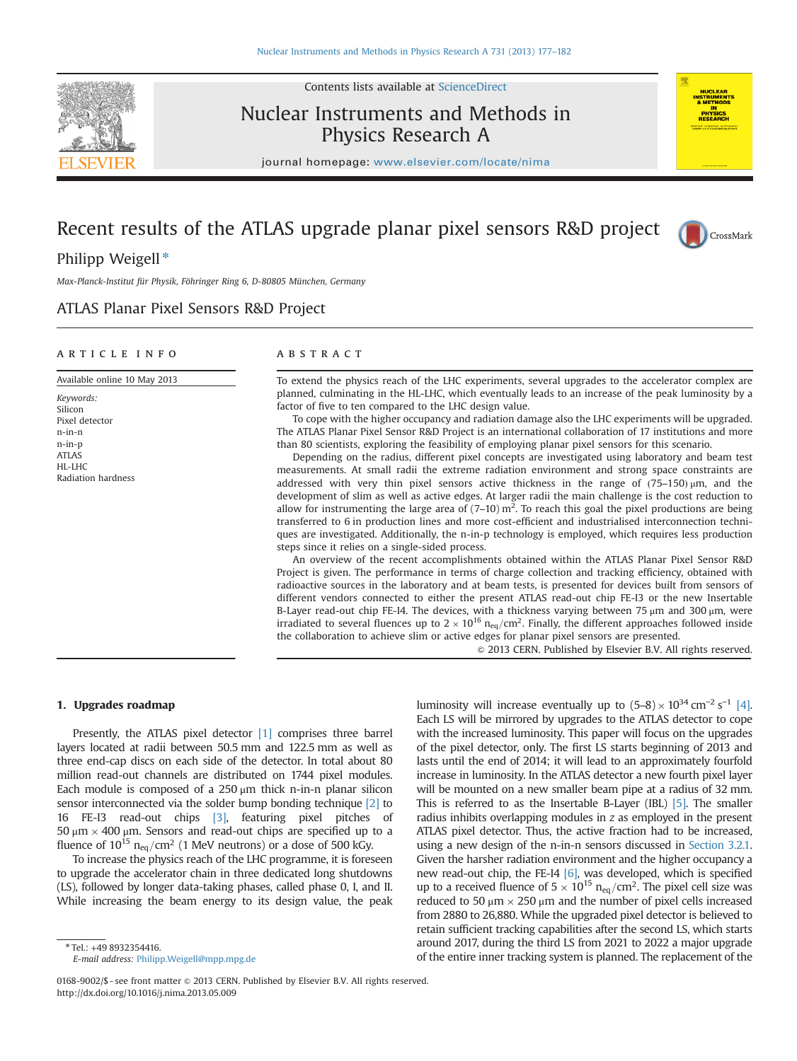

Contents lists available at [ScienceDirect](www.sciencedirect.com/science/journal/01689002)

# Nuclear Instruments and Methods in Physics Research A



CrossMark

journal homepage: <www.elsevier.com/locate/nima>

# Recent results of the ATLAS upgrade planar pixel sensors R&D project

Philipp Weigell $*$ 

Max-Planck-Institut für Physik, Föhringer Ring 6, D-80805 München, Germany

## ATLAS Planar Pixel Sensors R&D Project

### article info

#### Available online 10 May 2013

Keywords: Silicon Pixel detector n-in-n n-in-p ATLAS HL-LHC Radiation hardness

## ABSTRACT

To extend the physics reach of the LHC experiments, several upgrades to the accelerator complex are planned, culminating in the HL-LHC, which eventually leads to an increase of the peak luminosity by a factor of five to ten compared to the LHC design value.

To cope with the higher occupancy and radiation damage also the LHC experiments will be upgraded. The ATLAS Planar Pixel Sensor R&D Project is an international collaboration of 17 institutions and more than 80 scientists, exploring the feasibility of employing planar pixel sensors for this scenario.

Depending on the radius, different pixel concepts are investigated using laboratory and beam test measurements. At small radii the extreme radiation environment and strong space constraints are addressed with very thin pixel sensors active thickness in the range of  $(75-150)$   $\mu$ m, and the development of slim as well as active edges. At larger radii the main challenge is the cost reduction to allow for instrumenting the large area of  $(7-10)$  m<sup>2</sup>. To reach this goal the pixel productions are being transferred to 6 in production lines and more cost-efficient and industrialised interconnection techniques are investigated. Additionally, the n-in-p technology is employed, which requires less production steps since it relies on a single-sided process.

An overview of the recent accomplishments obtained within the ATLAS Planar Pixel Sensor R&D Project is given. The performance in terms of charge collection and tracking efficiency, obtained with radioactive sources in the laboratory and at beam tests, is presented for devices built from sensors of different vendors connected to either the present ATLAS read-out chip FE-I3 or the new Insertable B-Layer read-out chip FE-I4. The devices, with a thickness varying between 75  $\mu$ m and 300  $\mu$ m, were irradiated to several fluences up to  $2 \times 10^{16}$  n<sub>eq</sub>/cm<sup>2</sup>. Finally, the different approaches followed inside the collaboration to achieve slim or active edges for planar pixel sensors are presented.

 $\odot$  2013 CERN. Published by Elsevier B.V. All rights reserved.

### 1. Upgrades roadmap

Presently, the ATLAS pixel detector [\[1\]](#page--1-0) comprises three barrel layers located at radii between 50.5 mm and 122.5 mm as well as three end-cap discs on each side of the detector. In total about 80 million read-out channels are distributed on 1744 pixel modules. Each module is composed of a  $250 \mu m$  thick n-in-n planar silicon sensor interconnected via the solder bump bonding technique [\[2\]](#page--1-0) to 16 FE-I3 read-out chips [\[3\]](#page--1-0), featuring pixel pitches of 50 μm  $\times$  400 μm. Sensors and read-out chips are specified up to a fluence of  $10^{15}$  n<sub>eq</sub>/cm<sup>2</sup> (1 MeV neutrons) or a dose of 500 kGy.

To increase the physics reach of the LHC programme, it is foreseen to upgrade the accelerator chain in three dedicated long shutdowns (LS), followed by longer data-taking phases, called phase 0, I, and II. While increasing the beam energy to its design value, the peak

\*Tel.: +49 8932354416. E-mail address: [Philipp.Weigell@mpp.mpg.de](mailto:Philipp.Weigell@mpp.mpg.de)

luminosity will increase eventually up to  $(5-8) \times 10^{34}$  cm<sup>-2</sup> s<sup>-1</sup> [\[4\].](#page--1-0) Each LS will be mirrored by upgrades to the ATLAS detector to cope with the increased luminosity. This paper will focus on the upgrades of the pixel detector, only. The first LS starts beginning of 2013 and lasts until the end of 2014; it will lead to an approximately fourfold increase in luminosity. In the ATLAS detector a new fourth pixel layer will be mounted on a new smaller beam pipe at a radius of 32 mm. This is referred to as the Insertable B-Layer (IBL) [\[5\].](#page--1-0) The smaller radius inhibits overlapping modules in z as employed in the present ATLAS pixel detector. Thus, the active fraction had to be increased, using a new design of the n-in-n sensors discussed in [Section 3.2.1.](#page--1-0) Given the harsher radiation environment and the higher occupancy a new read-out chip, the FE-I4 [\[6\],](#page--1-0) was developed, which is specified up to a received fluence of  $5 \times 10^{15}$  n<sub>eq</sub>/cm<sup>2</sup>. The pixel cell size was reduced to 50  $\mu$ m  $\times$  250  $\mu$ m and the number of pixel cells increased from 2880 to 26,880. While the upgraded pixel detector is believed to retain sufficient tracking capabilities after the second LS, which starts around 2017, during the third LS from 2021 to 2022 a major upgrade of the entire inner tracking system is planned. The replacement of the

<sup>0168-9002/\$ -</sup> see front matter  $\odot$  2013 CERN. Published by Elsevier B.V. All rights reserved. <http://dx.doi.org/10.1016/j.nima.2013.05.009>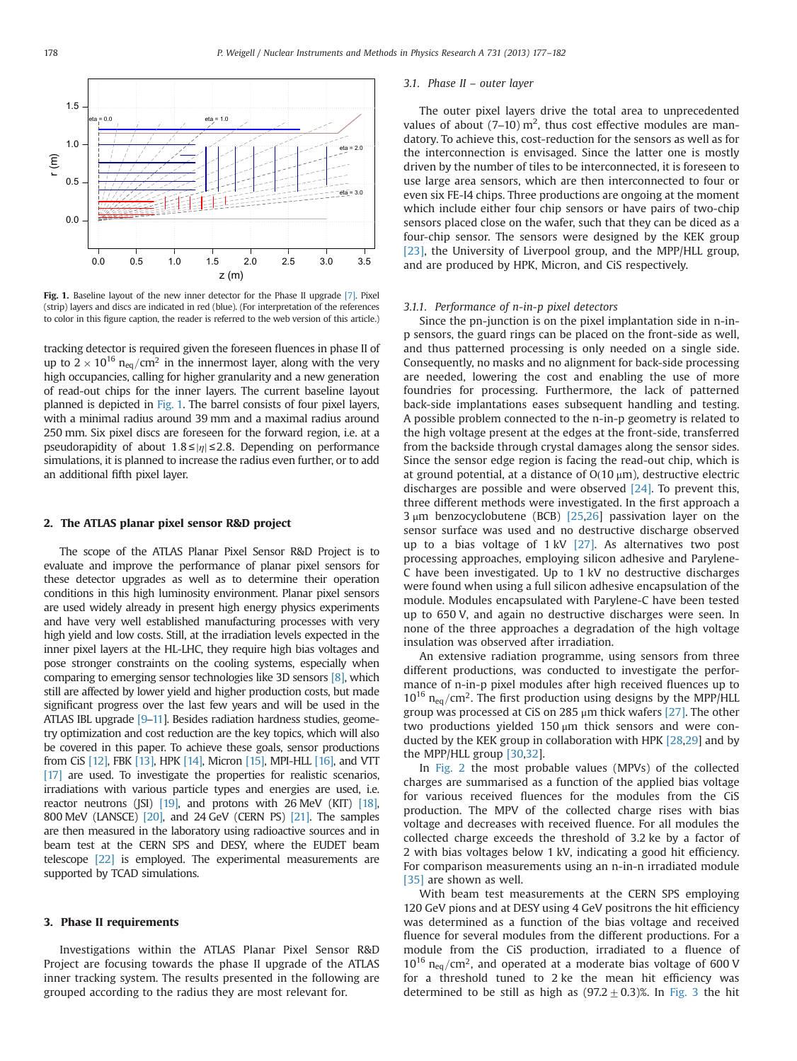

Fig. 1. Baseline layout of the new inner detector for the Phase II upgrade [\[7\].](#page--1-0) Pixel (strip) layers and discs are indicated in red (blue). (For interpretation of the references to color in this figure caption, the reader is referred to the web version of this article.)

tracking detector is required given the foreseen fluences in phase II of up to  $2 \times 10^{16}$  n<sub>eq</sub>/cm<sup>2</sup> in the innermost layer, along with the very high occupancies, calling for higher granularity and a new generation of read-out chips for the inner layers. The current baseline layout planned is depicted in Fig. 1. The barrel consists of four pixel layers, with a minimal radius around 39 mm and a maximal radius around 250 mm. Six pixel discs are foreseen for the forward region, i.e. at a pseudorapidity of about  $1.8 \le |\eta| \le 2.8$ . Depending on performance simulations, it is planned to increase the radius even further, or to add an additional fifth pixel layer.

#### 2. The ATLAS planar pixel sensor R&D project

The scope of the ATLAS Planar Pixel Sensor R&D Project is to evaluate and improve the performance of planar pixel sensors for these detector upgrades as well as to determine their operation conditions in this high luminosity environment. Planar pixel sensors are used widely already in present high energy physics experiments and have very well established manufacturing processes with very high yield and low costs. Still, at the irradiation levels expected in the inner pixel layers at the HL-LHC, they require high bias voltages and pose stronger constraints on the cooling systems, especially when comparing to emerging sensor technologies like 3D sensors [\[8\]](#page--1-0), which still are affected by lower yield and higher production costs, but made significant progress over the last few years and will be used in the ATLAS IBL upgrade [\[9](#page--1-0)–[11](#page--1-0)]. Besides radiation hardness studies, geometry optimization and cost reduction are the key topics, which will also be covered in this paper. To achieve these goals, sensor productions from CiS [\[12\]](#page--1-0), FBK [\[13\],](#page--1-0) HPK [\[14\]](#page--1-0), Micron [\[15\],](#page--1-0) MPI-HLL [\[16\]](#page--1-0), and VTT [\[17\]](#page--1-0) are used. To investigate the properties for realistic scenarios, irradiations with various particle types and energies are used, i.e. reactor neutrons (JSI) [\[19\]](#page--1-0), and protons with 26 MeV (KIT) [\[18\],](#page--1-0) 800 MeV (LANSCE) [\[20\],](#page--1-0) and 24 GeV (CERN PS) [\[21\]](#page--1-0). The samples are then measured in the laboratory using radioactive sources and in beam test at the CERN SPS and DESY, where the EUDET beam telescope [\[22\]](#page--1-0) is employed. The experimental measurements are supported by TCAD simulations.

#### 3. Phase II requirements

Investigations within the ATLAS Planar Pixel Sensor R&D Project are focusing towards the phase II upgrade of the ATLAS inner tracking system. The results presented in the following are grouped according to the radius they are most relevant for.

#### 3.1. Phase II – outer layer

The outer pixel layers drive the total area to unprecedented values of about (7-10)  $m^2$ , thus cost effective modules are mandatory. To achieve this, cost-reduction for the sensors as well as for the interconnection is envisaged. Since the latter one is mostly driven by the number of tiles to be interconnected, it is foreseen to use large area sensors, which are then interconnected to four or even six FE-I4 chips. Three productions are ongoing at the moment which include either four chip sensors or have pairs of two-chip sensors placed close on the wafer, such that they can be diced as a four-chip sensor. The sensors were designed by the KEK group [\[23\]](#page--1-0), the University of Liverpool group, and the MPP/HLL group, and are produced by HPK, Micron, and CiS respectively.

### 3.1.1. Performance of n-in-p pixel detectors

Since the pn-junction is on the pixel implantation side in n-inp sensors, the guard rings can be placed on the front-side as well, and thus patterned processing is only needed on a single side. Consequently, no masks and no alignment for back-side processing are needed, lowering the cost and enabling the use of more foundries for processing. Furthermore, the lack of patterned back-side implantations eases subsequent handling and testing. A possible problem connected to the n-in-p geometry is related to the high voltage present at the edges at the front-side, transferred from the backside through crystal damages along the sensor sides. Since the sensor edge region is facing the read-out chip, which is at ground potential, at a distance of  $O(10 \mu m)$ , destructive electric discharges are possible and were observed [\[24\].](#page--1-0) To prevent this, three different methods were investigated. In the first approach a 3 μm benzocyclobutene (BCB) [\[25,26\]](#page--1-0) passivation layer on the sensor surface was used and no destructive discharge observed up to a bias voltage of 1 kV [\[27\]](#page--1-0). As alternatives two post processing approaches, employing silicon adhesive and Parylene-C have been investigated. Up to 1 kV no destructive discharges were found when using a full silicon adhesive encapsulation of the module. Modules encapsulated with Parylene-C have been tested up to 650 V, and again no destructive discharges were seen. In none of the three approaches a degradation of the high voltage insulation was observed after irradiation.

An extensive radiation programme, using sensors from three different productions, was conducted to investigate the performance of n-in-p pixel modules after high received fluences up to  $10^{16}$  n<sub>eq</sub>/cm<sup>2</sup>. The first production using designs by the MPP/HLL group was processed at CiS on 285  $\mu$ m thick wafers [\[27\]](#page--1-0). The other two productions yielded 150  $\mu$ m thick sensors and were conducted by the KEK group in collaboration with HPK [\[28,29\]](#page--1-0) and by the MPP/HLL group [\[30,32\]](#page--1-0).

In [Fig. 2](#page--1-0) the most probable values (MPVs) of the collected charges are summarised as a function of the applied bias voltage for various received fluences for the modules from the CiS production. The MPV of the collected charge rises with bias voltage and decreases with received fluence. For all modules the collected charge exceeds the threshold of 3.2 ke by a factor of 2 with bias voltages below 1 kV, indicating a good hit efficiency. For comparison measurements using an n-in-n irradiated module [\[35\]](#page--1-0) are shown as well.

With beam test measurements at the CERN SPS employing 120 GeV pions and at DESY using 4 GeV positrons the hit efficiency was determined as a function of the bias voltage and received fluence for several modules from the different productions. For a module from the CiS production, irradiated to a fluence of  $10^{16}$  n<sub>eq</sub>/cm<sup>2</sup>, and operated at a moderate bias voltage of 600 V for a threshold tuned to 2 ke the mean hit efficiency was determined to be still as high as  $(97.2 \pm 0.3)$ %. In [Fig. 3](#page--1-0) the hit